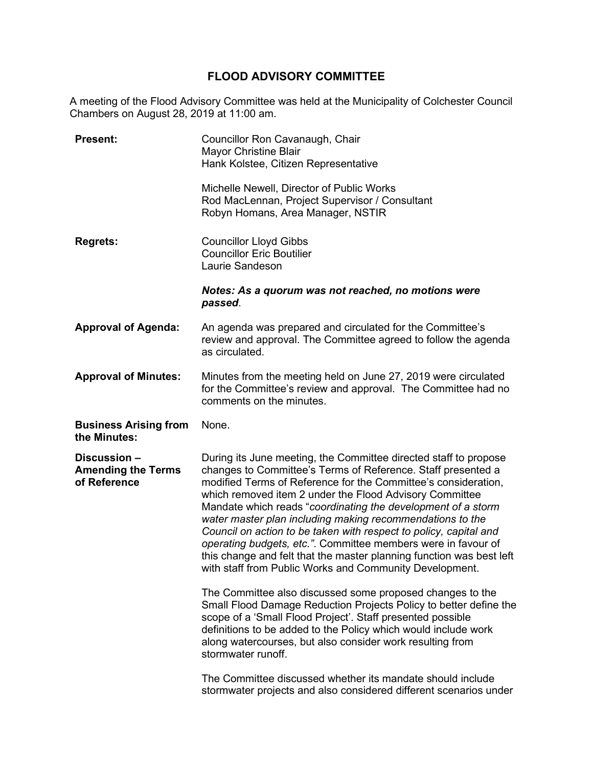# **FLOOD ADVISORY COMMITTEE**

A meeting of the Flood Advisory Committee was held at the Municipality of Colchester Council Chambers on August 28, 2019 at 11:00 am.

| <b>Present:</b>                                           | Councillor Ron Cavanaugh, Chair<br><b>Mayor Christine Blair</b><br>Hank Kolstee, Citizen Representative                                                                                                                                                                                                                                                                                                                                                                                                                                                                                                                                                             |
|-----------------------------------------------------------|---------------------------------------------------------------------------------------------------------------------------------------------------------------------------------------------------------------------------------------------------------------------------------------------------------------------------------------------------------------------------------------------------------------------------------------------------------------------------------------------------------------------------------------------------------------------------------------------------------------------------------------------------------------------|
|                                                           | Michelle Newell, Director of Public Works<br>Rod MacLennan, Project Supervisor / Consultant<br>Robyn Homans, Area Manager, NSTIR                                                                                                                                                                                                                                                                                                                                                                                                                                                                                                                                    |
| <b>Regrets:</b>                                           | <b>Councillor Lloyd Gibbs</b><br><b>Councillor Eric Boutilier</b><br>Laurie Sandeson                                                                                                                                                                                                                                                                                                                                                                                                                                                                                                                                                                                |
|                                                           | Notes: As a quorum was not reached, no motions were<br>passed.                                                                                                                                                                                                                                                                                                                                                                                                                                                                                                                                                                                                      |
| <b>Approval of Agenda:</b>                                | An agenda was prepared and circulated for the Committee's<br>review and approval. The Committee agreed to follow the agenda<br>as circulated.                                                                                                                                                                                                                                                                                                                                                                                                                                                                                                                       |
| <b>Approval of Minutes:</b>                               | Minutes from the meeting held on June 27, 2019 were circulated<br>for the Committee's review and approval. The Committee had no<br>comments on the minutes.                                                                                                                                                                                                                                                                                                                                                                                                                                                                                                         |
|                                                           |                                                                                                                                                                                                                                                                                                                                                                                                                                                                                                                                                                                                                                                                     |
| <b>Business Arising from</b><br>the Minutes:              | None.                                                                                                                                                                                                                                                                                                                                                                                                                                                                                                                                                                                                                                                               |
| Discussion -<br><b>Amending the Terms</b><br>of Reference | During its June meeting, the Committee directed staff to propose<br>changes to Committee's Terms of Reference. Staff presented a<br>modified Terms of Reference for the Committee's consideration,<br>which removed item 2 under the Flood Advisory Committee<br>Mandate which reads "coordinating the development of a storm<br>water master plan including making recommendations to the<br>Council on action to be taken with respect to policy, capital and<br>operating budgets, etc.". Committee members were in favour of<br>this change and felt that the master planning function was best left<br>with staff from Public Works and Community Development. |
|                                                           | The Committee also discussed some proposed changes to the<br>Small Flood Damage Reduction Projects Policy to better define the<br>scope of a 'Small Flood Project'. Staff presented possible<br>definitions to be added to the Policy which would include work<br>along watercourses, but also consider work resulting from<br>stormwater runoff.                                                                                                                                                                                                                                                                                                                   |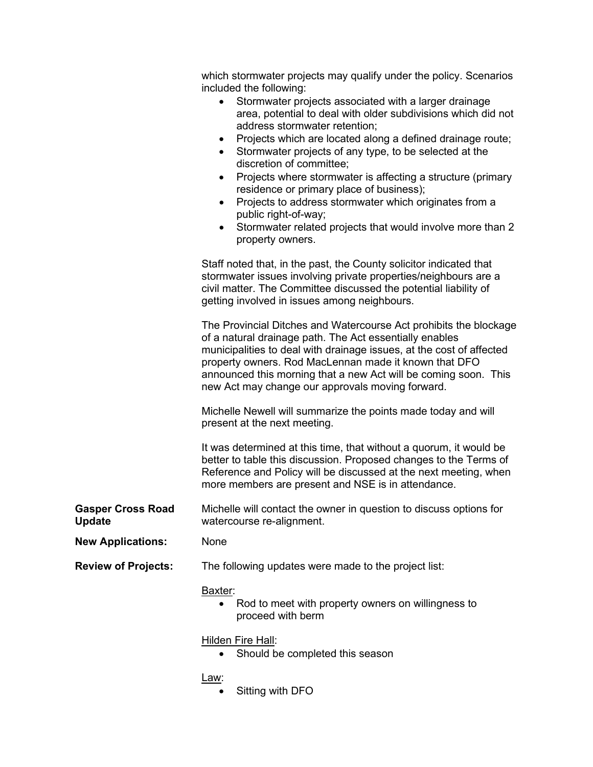|                                           | which stormwater projects may qualify under the policy. Scenarios<br>included the following:<br>Stormwater projects associated with a larger drainage<br>$\bullet$<br>area, potential to deal with older subdivisions which did not<br>address stormwater retention;<br>Projects which are located along a defined drainage route;<br>Stormwater projects of any type, to be selected at the<br>discretion of committee;<br>Projects where stormwater is affecting a structure (primary<br>٠<br>residence or primary place of business);<br>Projects to address stormwater which originates from a<br>$\bullet$<br>public right-of-way;<br>Stormwater related projects that would involve more than 2<br>property owners. |
|-------------------------------------------|---------------------------------------------------------------------------------------------------------------------------------------------------------------------------------------------------------------------------------------------------------------------------------------------------------------------------------------------------------------------------------------------------------------------------------------------------------------------------------------------------------------------------------------------------------------------------------------------------------------------------------------------------------------------------------------------------------------------------|
|                                           | Staff noted that, in the past, the County solicitor indicated that<br>stormwater issues involving private properties/neighbours are a<br>civil matter. The Committee discussed the potential liability of<br>getting involved in issues among neighbours.                                                                                                                                                                                                                                                                                                                                                                                                                                                                 |
|                                           | The Provincial Ditches and Watercourse Act prohibits the blockage<br>of a natural drainage path. The Act essentially enables<br>municipalities to deal with drainage issues, at the cost of affected<br>property owners. Rod MacLennan made it known that DFO<br>announced this morning that a new Act will be coming soon. This<br>new Act may change our approvals moving forward.                                                                                                                                                                                                                                                                                                                                      |
|                                           | Michelle Newell will summarize the points made today and will<br>present at the next meeting.                                                                                                                                                                                                                                                                                                                                                                                                                                                                                                                                                                                                                             |
|                                           | It was determined at this time, that without a quorum, it would be<br>better to table this discussion. Proposed changes to the Terms of<br>Reference and Policy will be discussed at the next meeting, when<br>more members are present and NSE is in attendance.                                                                                                                                                                                                                                                                                                                                                                                                                                                         |
| <b>Gasper Cross Road</b><br><b>Update</b> | Michelle will contact the owner in question to discuss options for<br>watercourse re-alignment.                                                                                                                                                                                                                                                                                                                                                                                                                                                                                                                                                                                                                           |
| <b>New Applications:</b>                  | None                                                                                                                                                                                                                                                                                                                                                                                                                                                                                                                                                                                                                                                                                                                      |
| <b>Review of Projects:</b>                | The following updates were made to the project list:                                                                                                                                                                                                                                                                                                                                                                                                                                                                                                                                                                                                                                                                      |
|                                           | Baxter:<br>Rod to meet with property owners on willingness to<br>proceed with berm                                                                                                                                                                                                                                                                                                                                                                                                                                                                                                                                                                                                                                        |
|                                           | Hilden Fire Hall:<br>Should be completed this season                                                                                                                                                                                                                                                                                                                                                                                                                                                                                                                                                                                                                                                                      |
|                                           | <u>Law:</u>                                                                                                                                                                                                                                                                                                                                                                                                                                                                                                                                                                                                                                                                                                               |

• Sitting with DFO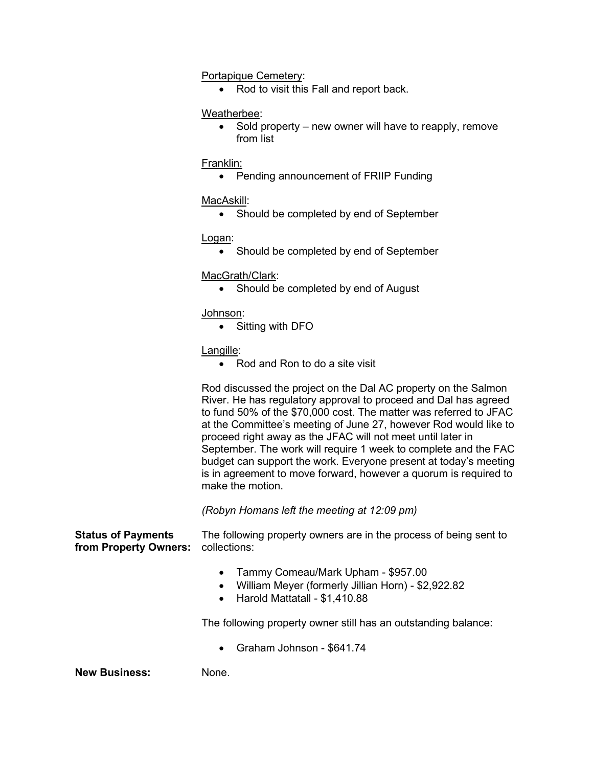## Portapique Cemetery:

• Rod to visit this Fall and report back.

#### Weatherbee:

• Sold property – new owner will have to reapply, remove from list

#### Franklin:

• Pending announcement of FRIIP Funding

## MacAskill:

• Should be completed by end of September

Logan:

• Should be completed by end of September

## MacGrath/Clark:

• Should be completed by end of August

Johnson:

• Sitting with DFO

## Langille:

• Rod and Ron to do a site visit

Rod discussed the project on the Dal AC property on the Salmon River. He has regulatory approval to proceed and Dal has agreed to fund 50% of the \$70,000 cost. The matter was referred to JFAC at the Committee's meeting of June 27, however Rod would like to proceed right away as the JFAC will not meet until later in September. The work will require 1 week to complete and the FAC budget can support the work. Everyone present at today's meeting is in agreement to move forward, however a quorum is required to make the motion.

*(Robyn Homans left the meeting at 12:09 pm)*

**Status of Payments from Property Owners:** The following property owners are in the process of being sent to collections:

- Tammy Comeau/Mark Upham \$957.00
- William Meyer (formerly Jillian Horn) \$2,922.82
- Harold Mattatall \$1,410.88

The following property owner still has an outstanding balance:

• Graham Johnson - \$641.74

**New Business:** None.